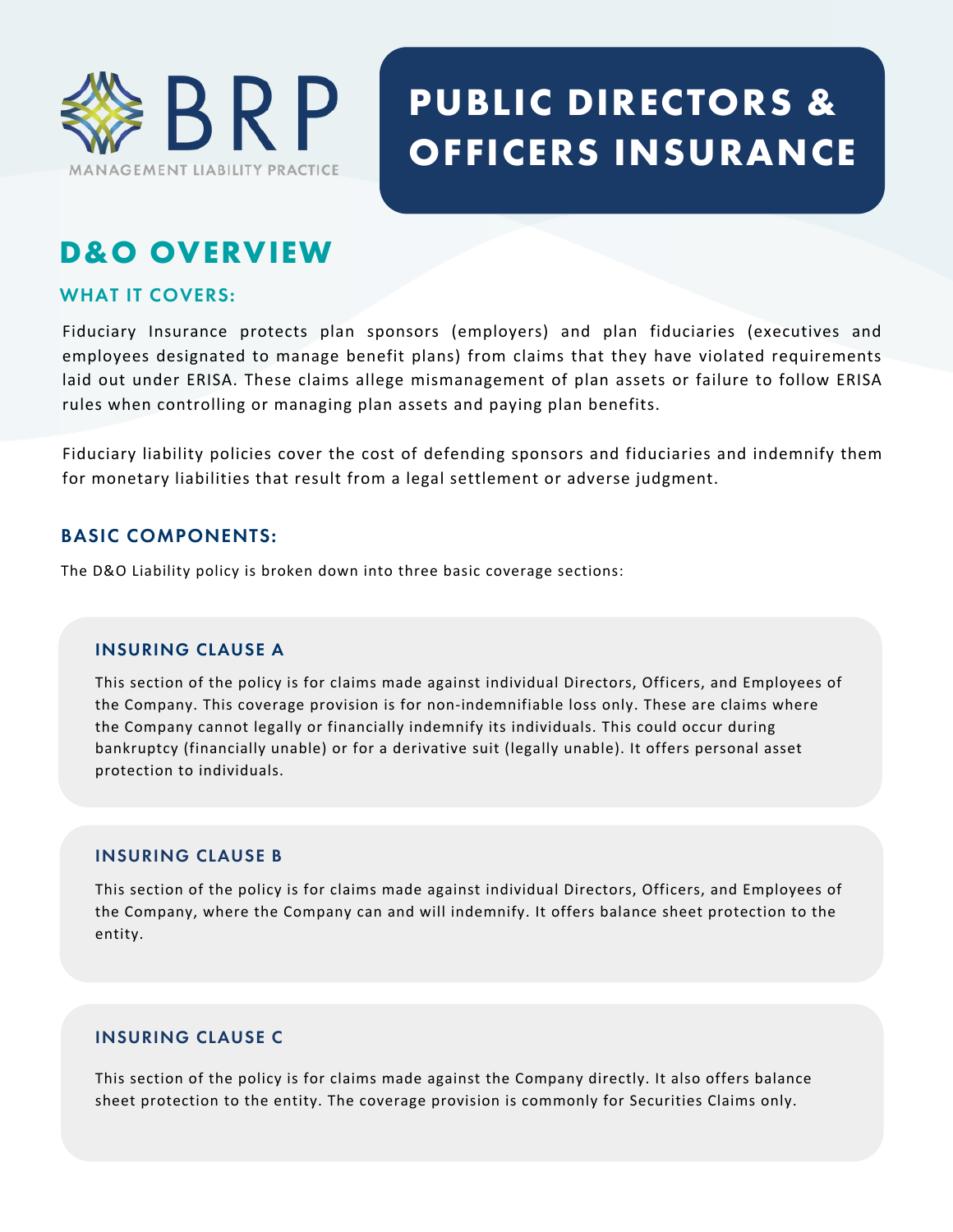

# **PUBLIC DIRECTORS & OFFICERS INSURANCE**

# **D&O OVERVIEW**

## **WHAT IT COVERS:**

Fiduciary Insurance protects plan sponsors (employers) and plan fiduciaries (executives and employees designated to manage benefit plans) from claims that they have violated requirements laid out under ERISA. These claims allege mismanagement of plan assets or failure to follow ERISA rules when controlling or managing plan assets and paying plan benefits.

Fiduciary liability policies cover the cost of defending sponsors and fiduciaries and indemnify them for monetary liabilities that result from a legal settlement or adverse judgment.

## **BASIC COMPONENTS:**

The D&O Liability policy is broken down into three basic coverage sections:

#### **INSURING CLAUSE A**

This section of the policy is for claims made against individual Directors, Officers, and Employees of the Company. This coverage provision is for non-indemnifiable loss only. These are claims where the Company cannot legally or financially indemnify its individuals. This could occur during bankruptcy (financially unable) or for a derivative suit (legally unable). It offers personal asset protection to individuals.

#### **INSURING CLAUSE B**

This section of the policy is for claims made against individual Directors, Officers, and Employees of the Company, where the Company can and will indemnify. It offers balance sheet protection to the entity.

#### **INSURING CLAUSE C**

This section of the policy is for claims made against the Company directly. It also offers balance sheet protection to the entity. The coverage provision is commonly for Securities Claims only.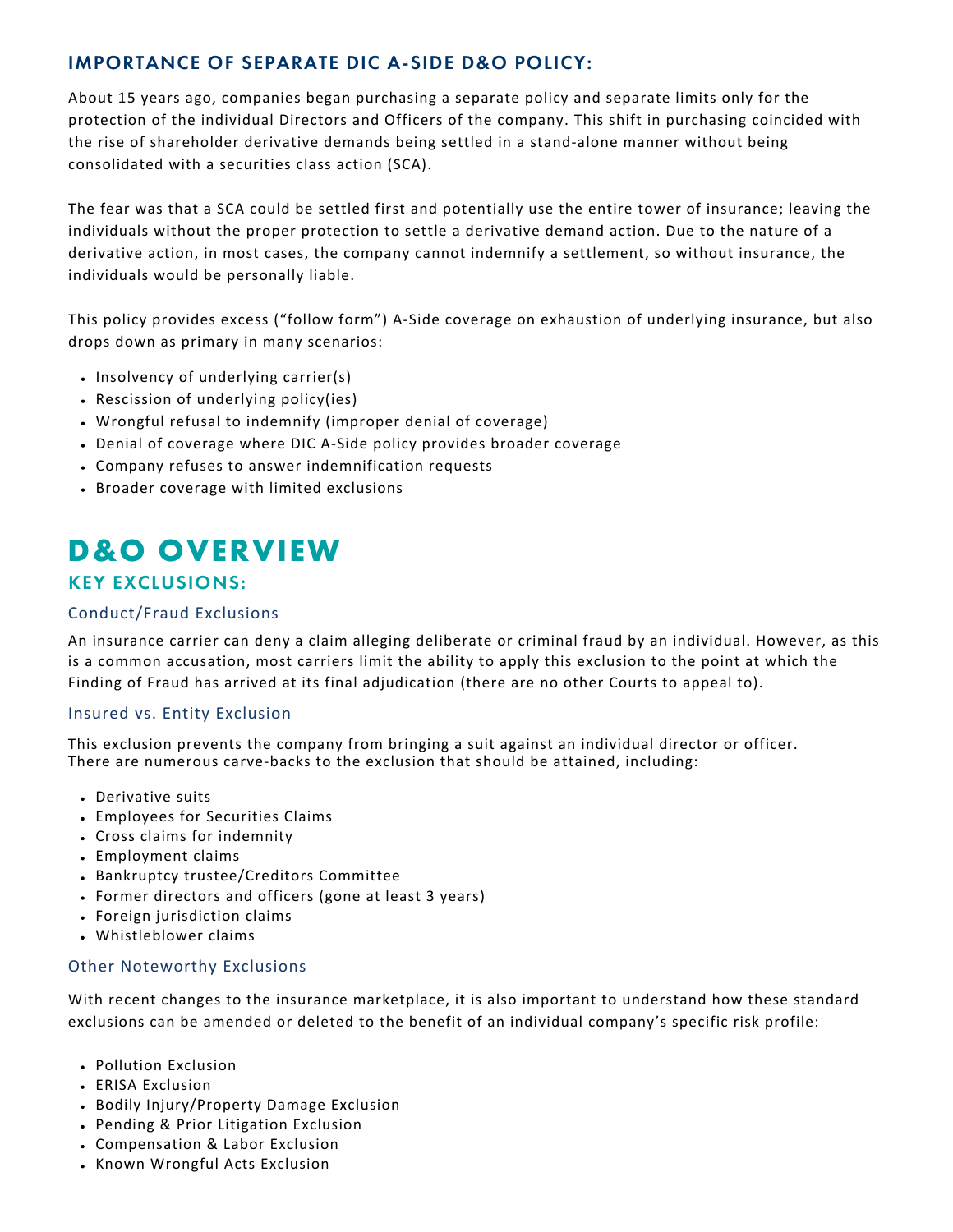## **IMPORTANCE OF SEPARATE DIC A-SIDE D&O POLICY:**

About 15 years ago, companies began purchasing a separate policy and separate limits only for the protection of the individual Directors and Officers of the company. This shift in purchasing coincided with the rise of shareholder derivative demands being settled in a stand-alone manner without being consolidated with a securities class action (SCA).

The fear was that a SCA could be settled first and potentially use the entire tower of insurance; leaving the individuals without the proper protection to settle a derivative demand action. Due to the nature of a derivative action, in most cases, the company cannot indemnify a settlement, so without insurance, the individuals would be personally liable.

This policy provides excess ("follow form") A-Side coverage on exhaustion of underlying insurance, but also drops down as primary in many scenarios:

- . Insolvency of underlying carrier(s)
- Rescission of underlying policy(ies)
- Wrongful refusal to indemnify (improper denial of coverage)
- Denial of coverage where DIC A-Side policy provides broader coverage
- Company refuses to answer indemnification requests
- Broader coverage with limited exclusions

# **D&O OVERVIEW**

# **KEY EXCLUSIONS:**

#### Conduct/Fraud Exclusions

An insurance carrier can deny a claim alleging deliberate or criminal fraud by an individual. However, as this is a common accusation, most carriers limit the ability to apply this exclusion to the point at which the Finding of Fraud has arrived at its final adjudication (there are no other Courts to appeal to).

#### Insured vs. Entity Exclusion

This exclusion prevents the company from bringing a suit against an individual director or officer. There are numerous carve-backs to the exclusion that should be attained, including:

- Derivative suits
- Employees for Securities Claims
- Cross claims for indemnity
- Employment claims
- Bankruptcy trustee/Creditors Committee
- Former directors and officers (gone at least 3 years)
- Foreign jurisdiction claims
- Whistleblower claims

#### Other Noteworthy Exclusions

With recent changes to the insurance marketplace, it is also important to understand how these standard exclusions can be amended or deleted to the benefit of an individual company's specific risk profile:

- Pollution Exclusion
- ERISA Exclusion
- Bodily Injury/Property Damage Exclusion
- Pending & Prior Litigation Exclusion
- Compensation & Labor Exclusion
- Known Wrongful Acts Exclusion